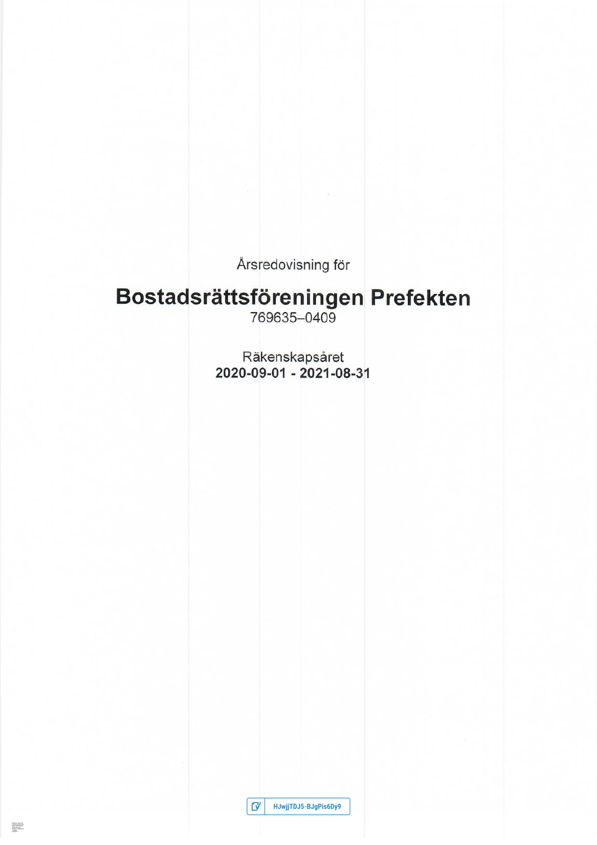Årsredovisning för

# Bostadsrättsföreningen Prefekten

Räkenskapsåret 2020-09-01 - 2021-08-31

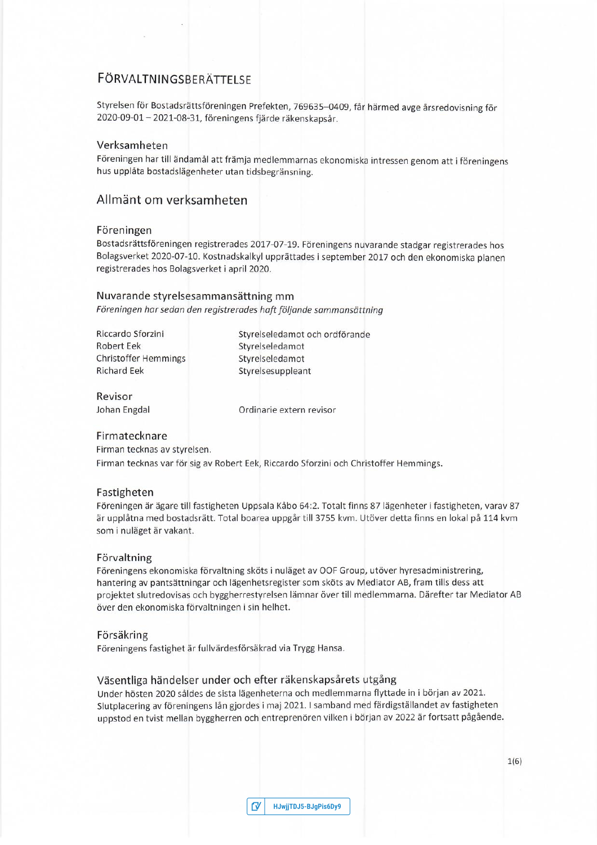# **FÖRVALTNINGSBERÄTTELSE**

Styrelsen för Bostadsrättsföreningen Prefekten, 769635-0409, får härmed avge årsredovisning för 2020-09-01 - 2021-08-31, föreningens fjärde räkenskapsår.

# Verksamheten

Föreningen har till ändamål att främja medlemmarnas ekonomiska intressen genom att i föreningens hus upplåta bostadslägenheter utan tidsbegränsning.

# Allmänt om verksamheten

## Föreningen

Bostadsrättsföreningen registrerades 2017-07-19. Föreningens nuvarande stadgar registrerades hos Bolagsverket 2020-07-10. Kostnadskalkyl upprättades i september 2017 och den ekonomiska planen registrerades hos Bolagsverket i april 2020.

#### Nuvarande styrelsesammansättning mm

Föreningen har sedan den registrerades haft följande sammansättning

| Riccardo Sforzini           |
|-----------------------------|
| Robert Eek                  |
| <b>Christoffer Hemmings</b> |
| <b>Richard Eek</b>          |

Styrelseledamot och ordförande Styrelseledamot Styrelseledamot Styrelsesuppleant

Revisor Johan Engdal

Ordinarie extern revisor

## Firmatecknare

Firman tecknas av styrelsen.

Firman tecknas var för sig av Robert Eek, Riccardo Sforzini och Christoffer Hemmings.

# Fastigheten

Föreningen är ägare till fastigheten Uppsala Kåbo 64:2. Totalt finns 87 lägenheter i fastigheten, varav 87 är upplåtna med bostadsrätt. Total boarea uppgår till 3755 kvm. Utöver detta finns en lokal på 114 kvm som i nuläget är vakant.

#### Förvaltning

Föreningens ekonomiska förvaltning sköts i nuläget av OOF Group, utöver hyresadministrering, hantering av pantsättningar och lägenhetsregister som sköts av Mediator AB, fram tills dess att projektet slutredovisas och byggherrestyrelsen lämnar över till medlemmarna. Därefter tar Mediator AB över den ekonomiska förvaltningen i sin helhet.

#### Försäkring

Föreningens fastighet är fullvärdesförsäkrad via Trygg Hansa.

# Väsentliga händelser under och efter räkenskapsårets utgång

Under hösten 2020 såldes de sista lägenheterna och medlemmarna flyttade in i början av 2021. Slutplacering av föreningens lån gjordes i maj 2021. I samband med färdigställandet av fastigheten uppstod en tvist mellan byggherren och entreprenören vilken i början av 2022 är fortsatt pågående.

|  | V HJwjjTDJ5-BJgPis6Dy9 |
|--|------------------------|
|--|------------------------|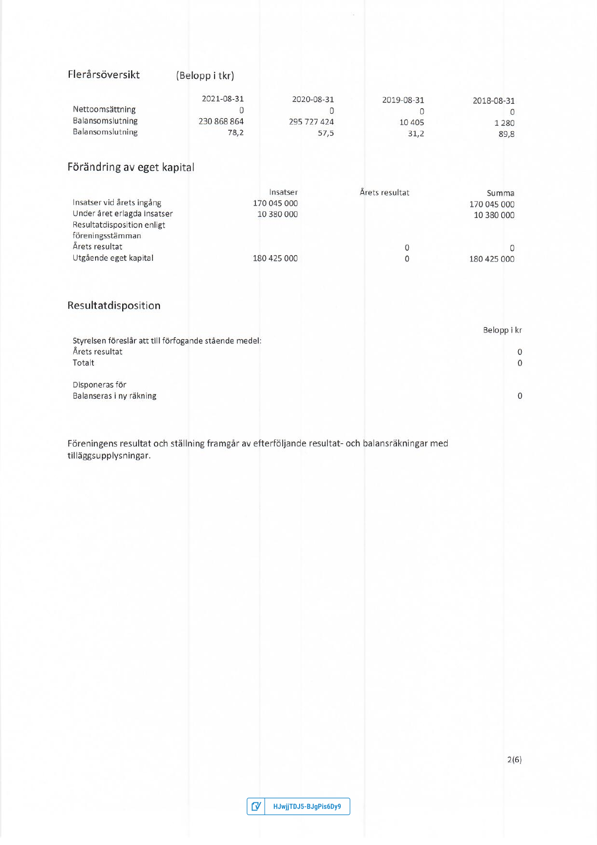| Flerårsöversikt                                                                                                                                       | (Belopp i tkr)                                |                                                      |                                     |                                                               |
|-------------------------------------------------------------------------------------------------------------------------------------------------------|-----------------------------------------------|------------------------------------------------------|-------------------------------------|---------------------------------------------------------------|
| Nettoomsättning<br>Balansomslutning<br>Balansomslutning                                                                                               | 2021-08-31<br>$\Omega$<br>230 868 864<br>78,2 | 2020-08-31<br>$\Omega$<br>295 727 424<br>57,5        | 2019-08-31<br>0<br>10 4 0 5<br>31,2 | 2018-08-31<br>$\mathbf{0}$<br>1 2 8 0<br>89,8                 |
| Förändring av eget kapital                                                                                                                            |                                               |                                                      |                                     |                                                               |
| Insatser vid årets ingång<br>Under året erlagda insatser<br>Resultatdisposition enligt<br>föreningsstämman<br>Årets resultat<br>Utgående eget kapital |                                               | Insatser<br>170 045 000<br>10 380 000<br>180 425 000 | Årets resultat<br>$\mathbf 0$<br>0  | Summa<br>170 045 000<br>10 380 000<br>$\Omega$<br>180 425 000 |
| Resultatdisposition                                                                                                                                   |                                               |                                                      |                                     |                                                               |
| Styrelsen föreslår att till förfogande stående medel:<br>Årets resultat<br>Totalt                                                                     |                                               |                                                      |                                     | Belopp i kr<br>$\circ$<br>$\mathbf{O}$                        |
| Disponeras för<br>Balanseras i ny räkning                                                                                                             |                                               |                                                      |                                     | $\boldsymbol{0}$                                              |
| Föreningens resultat och ställning framgår av efterföljande resultat- och balansräkningar med<br>tilläggsupplysningar.                                |                                               |                                                      |                                     |                                                               |

| $\sigma$ | HJwjjTDJ5-BJgPis6Dy9 |
|----------|----------------------|
|----------|----------------------|

 $2(6)$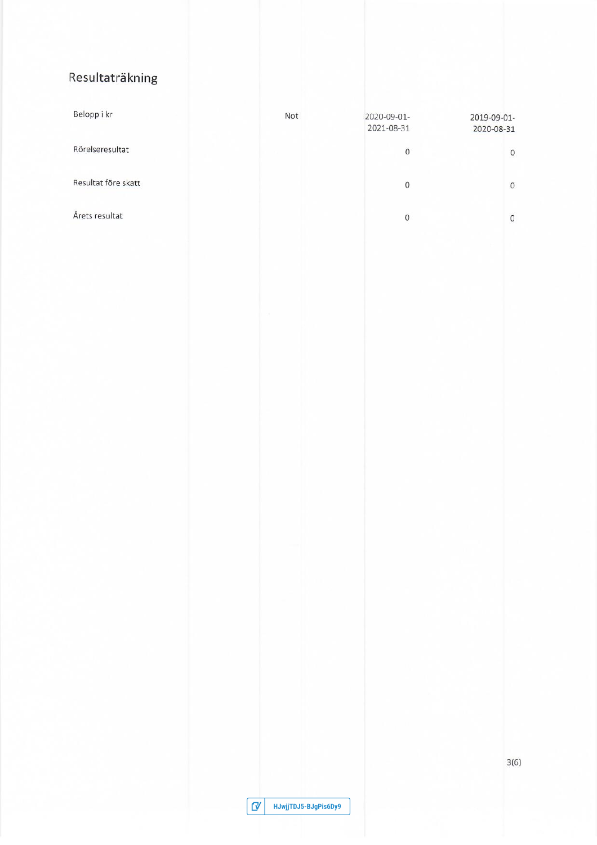# Resultaträkning

| Belopp i kr         | Not | 2020-09-01-<br>2021-08-31 | 2019-09-01-<br>2020-08-31 |
|---------------------|-----|---------------------------|---------------------------|
| Rörelseresultat     |     | 0                         | $\circ$                   |
| Resultat före skatt |     | 0                         | $\Omega$                  |
| Årets resultat      |     | 0                         | $\circ$                   |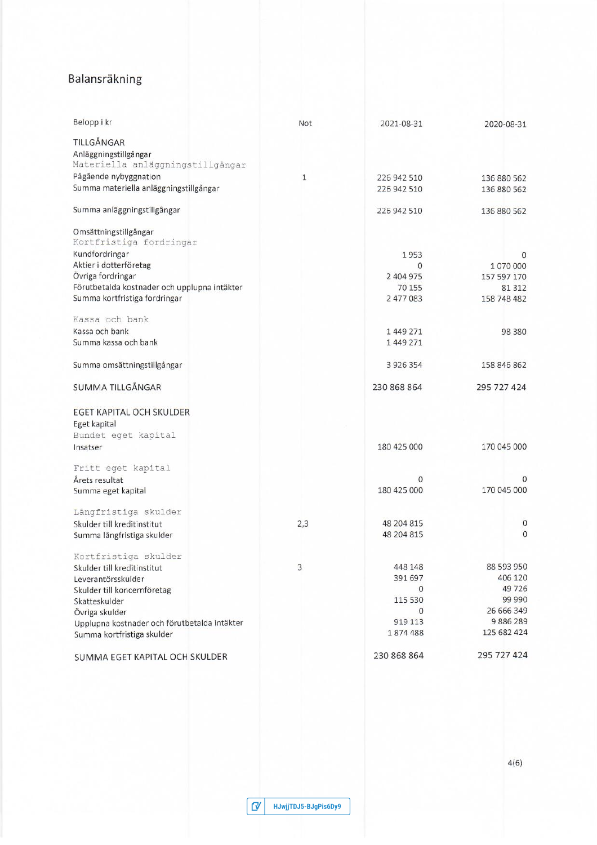# Balansräkning

| Belopp i kr                                                                | Not | 2021-08-31              | 2020-08-31            |
|----------------------------------------------------------------------------|-----|-------------------------|-----------------------|
|                                                                            |     |                         |                       |
| TILLGÅNGAR                                                                 |     |                         |                       |
| Anläggningstillgångar                                                      |     |                         |                       |
| Materiella anläggningstillgångar                                           |     |                         |                       |
| Pågående nybyggnation<br>Summa materiella anläggningstillgångar            | 1   | 226 942 510             | 136 880 562           |
|                                                                            |     | 226 942 510             | 136 880 562           |
| Summa anläggningstillgångar                                                |     | 226 942 510             | 136 880 562           |
| Omsättningstillgångar<br>Kortfristiga fordringar                           |     |                         |                       |
| Kundfordringar                                                             |     | 1953                    | 0                     |
| Aktier i dotterföretag                                                     |     | 0                       | 1070000               |
| Övriga fordringar                                                          |     | 2 404 975               | 157 597 170           |
| Förutbetalda kostnader och upplupna intäkter                               |     | 70 155                  | 81312                 |
| Summa kortfristiga fordringar                                              |     | 2 477 083               | 158 748 482           |
| Kassa och bank                                                             |     |                         |                       |
| Kassa och bank                                                             |     | 1449271                 | 98 380                |
| Summa kassa och bank                                                       |     | 1449271                 |                       |
| Summa omsättningstillgångar                                                |     | 3 9 2 6 3 5 4           | 158 846 862           |
| SUMMA TILLGÅNGAR                                                           |     | 230 868 864             | 295 727 424           |
| EGET KAPITAL OCH SKULDER                                                   |     |                         |                       |
| Eget kapital                                                               |     |                         |                       |
| Bundet eget kapital<br>Insatser                                            |     | 180 425 000             | 170 045 000           |
|                                                                            |     |                         |                       |
| Fritt eget kapital                                                         |     |                         |                       |
| Årets resultat<br>Summa eget kapital                                       |     | $\Omega$<br>180 425 000 | Ω<br>170 045 000      |
|                                                                            |     |                         |                       |
| Långfristiga skulder                                                       |     |                         |                       |
| Skulder till kreditinstitut                                                | 2,3 | 48 204 815              | $\mathbf 0$           |
| Summa långfristiga skulder                                                 |     | 48 204 815              | $\mathbf{0}$          |
| Kortfristiga skulder                                                       |     |                         |                       |
| Skulder till kreditinstitut                                                | 3   | 448 148                 | 88 593 950            |
| Leverantörsskulder                                                         |     | 391 697                 | 406 120               |
| Skulder till koncernföretag                                                |     | 0                       | 49 726                |
| Skatteskulder                                                              |     | 115 530                 | 99 990                |
| Övriga skulder                                                             |     | 0<br>919 113            | 26 666 349<br>9886289 |
| Upplupna kostnader och förutbetalda intäkter<br>Summa kortfristiga skulder |     | 1874488                 | 125 682 424           |
|                                                                            |     |                         |                       |
| SUMMA EGET KAPITAL OCH SKULDER                                             |     | 230 868 864             | 295 727 424           |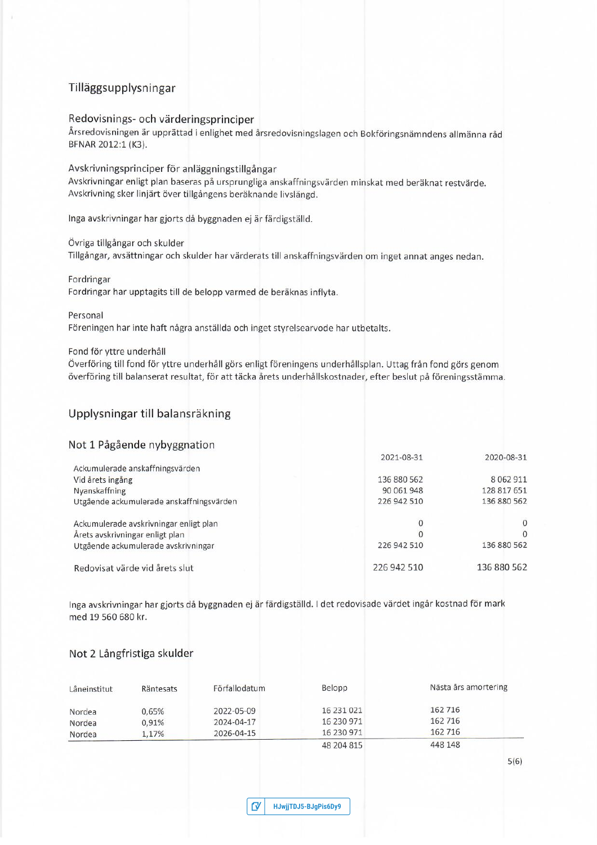# Tilläggsupplysningar

# Redovisnings- och värderingsprinciper

Årsredovisningen är upprättad i enlighet med årsredovisningslagen och Bokföringsnämndens allmänna råd BFNAR 2012:1 (K3).

## Avskrivningsprinciper för anläggningstillgångar

Avskrivningar enligt plan baseras på ursprungliga anskaffningsvärden minskat med beräknat restvärde. Avskrivning sker linjärt över tillgångens beräknande livslängd.

Inga avskrivningar har gjorts då byggnaden ej är färdigställd.

## Övriga tillgångar och skulder

Tillgångar, avsättningar och skulder har värderats till anskaffningsvärden om inget annat anges nedan.

#### Fordringar

Fordringar har upptagits till de belopp varmed de beräknas inflyta.

#### Personal

Föreningen har inte haft några anställda och inget styrelsearvode har utbetalts.

## Fond för yttre underhåll

Överföring till fond för yttre underhåll görs enligt föreningens underhållsplan. Uttag från fond görs genom överföring till balanserat resultat, för att täcka årets underhållskostnader, efter beslut på föreningsstämma.

# Upplysningar till balansräkning

# Not 1 Pågående nybyggnation

|                                          | 2021-08-31  | 2020-08-31    |
|------------------------------------------|-------------|---------------|
| Ackumulerade anskaffningsvärden          |             |               |
| Vid årets ingång                         | 136 880 562 | 8 0 6 2 9 1 1 |
| Nyanskaffning                            | 90 061 948  | 128 817 651   |
| Utgående ackumulerade anskaffningsvärden | 226 942 510 | 136 880 562   |
| Ackumulerade avskrivningar enligt plan   |             | $\Omega$      |
| Årets avskrivningar enligt plan          |             | $\Omega$      |
| Utgående ackumulerade avskrivningar      | 226 942 510 | 136 880 562   |
| Redovisat värde vid årets slut           | 226 942 510 | 136 880 562   |

Inga avskrivningar har gjorts då byggnaden ej är färdigställd. I det redovisade värdet ingår kostnad för mark med 19 560 680 kr.

# Not 2 Långfristiga skulder

| Låneinstitut | Räntesats | Förfallodatum | Belopp     | Nästa års amortering |
|--------------|-----------|---------------|------------|----------------------|
| Nordea       | 0.65%     | 2022-05-09    | 16 231 021 | 162 716              |
| Nordea       | 0.91%     | 2024-04-17    | 16 230 971 | 162 716              |
| Nordea       | 1.17%     | 2026-04-15    | 16 230 971 | 162 716              |
|              |           |               | 48 204 815 | 448 148              |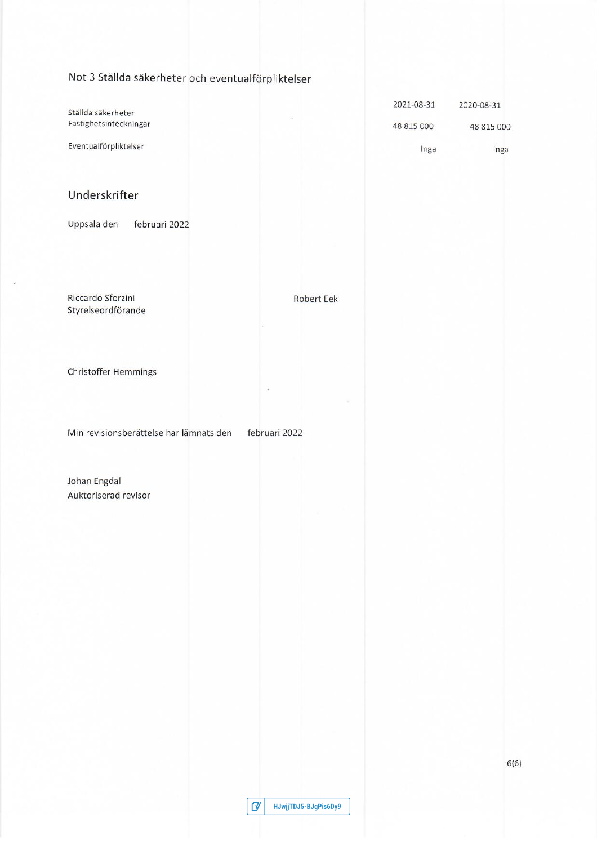Not 3 Ställda säkerheter och eventualförpliktelser

| Ställda säkerheter     | 2021-08-31 | 2020-08-31 |
|------------------------|------------|------------|
| Fastighetsinteckningar | 48 815 000 | 48 815 000 |
| Eventualförpliktelser  | Inga       | Inga       |

**Robert Eek** 

# Underskrifter

Uppsala den februari 2022

Riccardo Sforzini Styrelseordförande

Christoffer Hemmings

Min revisionsberättelse har lämnats den

februari 2022

Johan Engdal Auktoriserad revisor

| $\mathbf{C}^{\prime}$ | HJwjjTDJ5-BJgPis6Dy9 |
|-----------------------|----------------------|
|-----------------------|----------------------|

 $6(6)$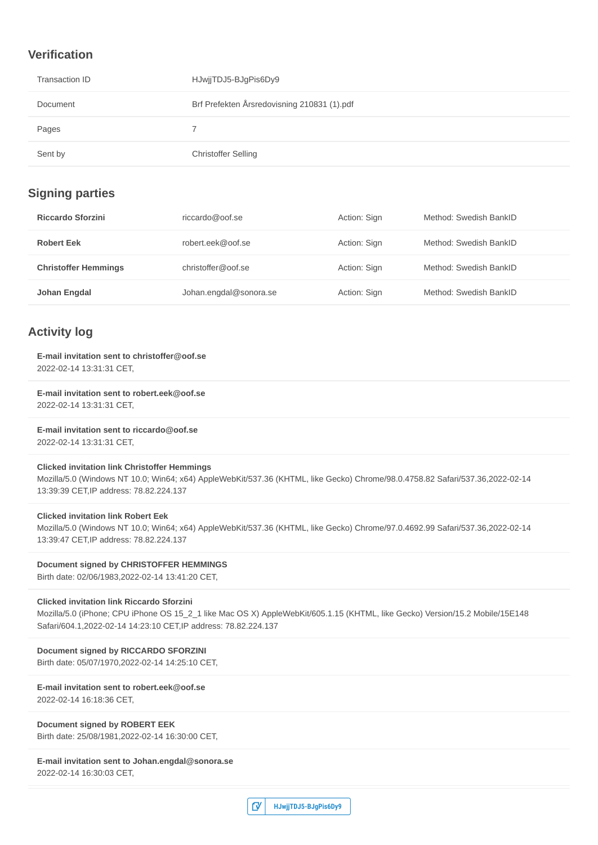# **Verification**

| Transaction ID | HJwjjTDJ5-BJgPis6Dy9                        |
|----------------|---------------------------------------------|
| Document       | Brf Prefekten Årsredovisning 210831 (1).pdf |
| Pages          |                                             |
| Sent by        | <b>Christoffer Selling</b>                  |

# **Signing parties**

| <b>Riccardo Sforzini</b>    | riccardo@oof.se        | Action: Sign | Method: Swedish BankID |
|-----------------------------|------------------------|--------------|------------------------|
| <b>Robert Eek</b>           | robert.eek@oof.se      | Action: Sign | Method: Swedish BankID |
| <b>Christoffer Hemmings</b> | christoffer@oof.se     | Action: Sign | Method: Swedish BankID |
| Johan Engdal                | Johan.engdal@sonora.se | Action: Sign | Method: Swedish BankID |

# **Activity log**

# **E-mail invitation sent to christoffer@oof.se**

2022-02-14 13:31:31 CET,

**E-mail invitation sent to robert.eek@oof.se** 2022-02-14 13:31:31 CET,

**E-mail invitation sent to riccardo@oof.se**

2022-02-14 13:31:31 CET,

**Clicked invitation link Christoffer Hemmings**

Mozilla/5.0 (Windows NT 10.0; Win64; x64) AppleWebKit/537.36 (KHTML, like Gecko) Chrome/98.0.4758.82 Safari/537.36,2022-02-14 13:39:39 CET,IP address: 78.82.224.137

#### **Clicked invitation link Robert Eek**

Mozilla/5.0 (Windows NT 10.0; Win64; x64) AppleWebKit/537.36 (KHTML, like Gecko) Chrome/97.0.4692.99 Safari/537.36,2022-02-14 13:39:47 CET,IP address: 78.82.224.137

## **Document signed by CHRISTOFFER HEMMINGS**

Birth date: 02/06/1983,2022-02-14 13:41:20 CET,

# **Clicked invitation link Riccardo Sforzini**

Mozilla/5.0 (iPhone; CPU iPhone OS 15\_2\_1 like Mac OS X) AppleWebKit/605.1.15 (KHTML, like Gecko) Version/15.2 Mobile/15E148 Safari/604.1,2022-02-14 14:23:10 CET,IP address: 78.82.224.137

# **Document signed by RICCARDO SFORZINI**

Birth date: 05/07/1970,2022-02-14 14:25:10 CET,

# **E-mail invitation sent to robert.eek@oof.se**

2022-02-14 16:18:36 CET,

# **Document signed by ROBERT EEK**

Birth date: 25/08/1981,2022-02-14 16:30:00 CET,

# **E-mail invitation sent to Johan.engdal@sonora.se**

2022-02-14 16:30:03 CET,